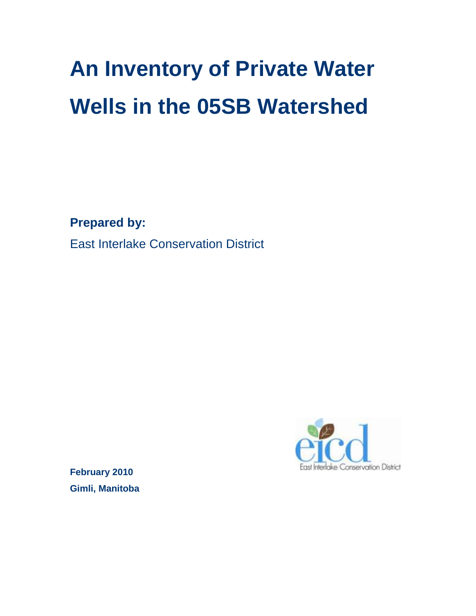# **An Inventory of Private Water Wells in the 05SB Watershed**

**Prepared by:**

East Interlake Conservation District



**February 2010 Gimli, Manitoba**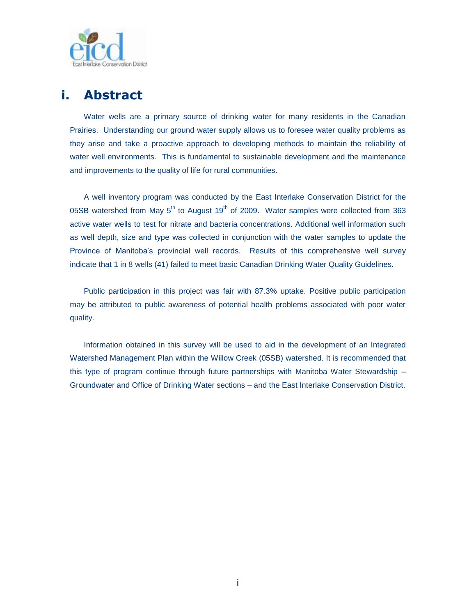

## <span id="page-2-0"></span>**i. Abstract**

Water wells are a primary source of drinking water for many residents in the Canadian Prairies. Understanding our ground water supply allows us to foresee water quality problems as they arise and take a proactive approach to developing methods to maintain the reliability of water well environments. This is fundamental to sustainable development and the maintenance and improvements to the quality of life for rural communities.

A well inventory program was conducted by the East Interlake Conservation District for the 05SB watershed from May  $5<sup>th</sup>$  to August 19<sup>th</sup> of 2009. Water samples were collected from 363 active water wells to test for nitrate and bacteria concentrations. Additional well information such as well depth, size and type was collected in conjunction with the water samples to update the Province of Manitoba"s provincial well records. Results of this comprehensive well survey indicate that 1 in 8 wells (41) failed to meet basic Canadian Drinking Water Quality Guidelines.

Public participation in this project was fair with 87.3% uptake. Positive public participation may be attributed to public awareness of potential health problems associated with poor water quality.

Information obtained in this survey will be used to aid in the development of an Integrated Watershed Management Plan within the Willow Creek (05SB) watershed. It is recommended that this type of program continue through future partnerships with Manitoba Water Stewardship – Groundwater and Office of Drinking Water sections – and the East Interlake Conservation District.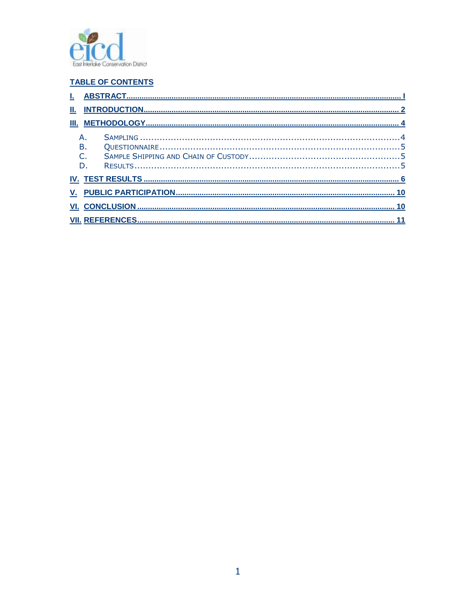

#### **TABLE OF CONTENTS**

| Ш. |    |  |  |  |
|----|----|--|--|--|
|    |    |  |  |  |
|    |    |  |  |  |
|    | В. |  |  |  |
|    |    |  |  |  |
|    | D. |  |  |  |
|    |    |  |  |  |
|    |    |  |  |  |
|    |    |  |  |  |
|    |    |  |  |  |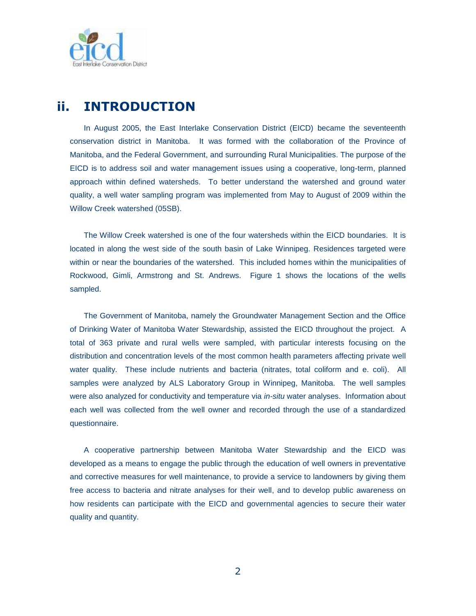

## <span id="page-4-0"></span>**ii. INTRODUCTION**

In August 2005, the East Interlake Conservation District (EICD) became the seventeenth conservation district in Manitoba. It was formed with the collaboration of the Province of Manitoba, and the Federal Government, and surrounding Rural Municipalities. The purpose of the EICD is to address soil and water management issues using a cooperative, long-term, planned approach within defined watersheds. To better understand the watershed and ground water quality, a well water sampling program was implemented from May to August of 2009 within the Willow Creek watershed (05SB).

The Willow Creek watershed is one of the four watersheds within the EICD boundaries. It is located in along the west side of the south basin of Lake Winnipeg. Residences targeted were within or near the boundaries of the watershed. This included homes within the municipalities of Rockwood, Gimli, Armstrong and St. Andrews. Figure 1 shows the locations of the wells sampled.

The Government of Manitoba, namely the Groundwater Management Section and the Office of Drinking Water of Manitoba Water Stewardship, assisted the EICD throughout the project. A total of 363 private and rural wells were sampled, with particular interests focusing on the distribution and concentration levels of the most common health parameters affecting private well water quality. These include nutrients and bacteria (nitrates, total coliform and e. coli). All samples were analyzed by ALS Laboratory Group in Winnipeg, Manitoba. The well samples were also analyzed for conductivity and temperature via *in-situ* water analyses. Information about each well was collected from the well owner and recorded through the use of a standardized questionnaire.

A cooperative partnership between Manitoba Water Stewardship and the EICD was developed as a means to engage the public through the education of well owners in preventative and corrective measures for well maintenance, to provide a service to landowners by giving them free access to bacteria and nitrate analyses for their well, and to develop public awareness on how residents can participate with the EICD and governmental agencies to secure their water quality and quantity.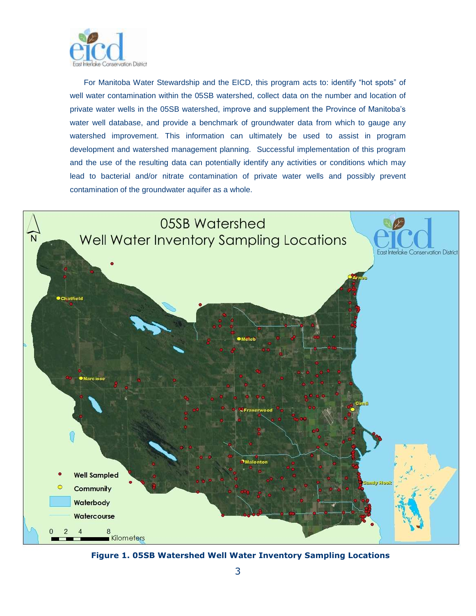

For Manitoba Water Stewardship and the EICD, this program acts to: identify "hot spots" of well water contamination within the 05SB watershed, collect data on the number and location of private water wells in the 05SB watershed, improve and supplement the Province of Manitoba"s water well database, and provide a benchmark of groundwater data from which to gauge any watershed improvement. This information can ultimately be used to assist in program development and watershed management planning. Successful implementation of this program and the use of the resulting data can potentially identify any activities or conditions which may lead to bacterial and/or nitrate contamination of private water wells and possibly prevent contamination of the groundwater aquifer as a whole.



 **Figure 1. 05SB Watershed Well Water Inventory Sampling Locations**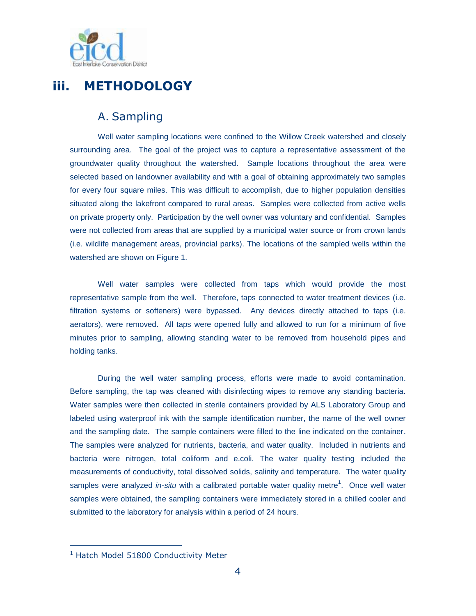

## <span id="page-6-1"></span><span id="page-6-0"></span>**iii. METHODOLOGY**

#### A. Sampling

Well water sampling locations were confined to the Willow Creek watershed and closely surrounding area. The goal of the project was to capture a representative assessment of the groundwater quality throughout the watershed. Sample locations throughout the area were selected based on landowner availability and with a goal of obtaining approximately two samples for every four square miles. This was difficult to accomplish, due to higher population densities situated along the lakefront compared to rural areas. Samples were collected from active wells on private property only. Participation by the well owner was voluntary and confidential. Samples were not collected from areas that are supplied by a municipal water source or from crown lands (i.e. wildlife management areas, provincial parks). The locations of the sampled wells within the watershed are shown on Figure 1.

Well water samples were collected from taps which would provide the most representative sample from the well. Therefore, taps connected to water treatment devices (i.e. filtration systems or softeners) were bypassed. Any devices directly attached to taps (i.e. aerators), were removed. All taps were opened fully and allowed to run for a minimum of five minutes prior to sampling, allowing standing water to be removed from household pipes and holding tanks.

During the well water sampling process, efforts were made to avoid contamination. Before sampling, the tap was cleaned with disinfecting wipes to remove any standing bacteria. Water samples were then collected in sterile containers provided by ALS Laboratory Group and labeled using waterproof ink with the sample identification number, the name of the well owner and the sampling date. The sample containers were filled to the line indicated on the container. The samples were analyzed for nutrients, bacteria, and water quality. Included in nutrients and bacteria were nitrogen, total coliform and e.coli. The water quality testing included the measurements of conductivity, total dissolved solids, salinity and temperature. The water quality samples were analyzed *in-situ* with a calibrated portable water quality metre<sup>1</sup>. Once well water samples were obtained, the sampling containers were immediately stored in a chilled cooler and submitted to the laboratory for analysis within a period of 24 hours.

1

<sup>&</sup>lt;sup>1</sup> Hatch Model 51800 Conductivity Meter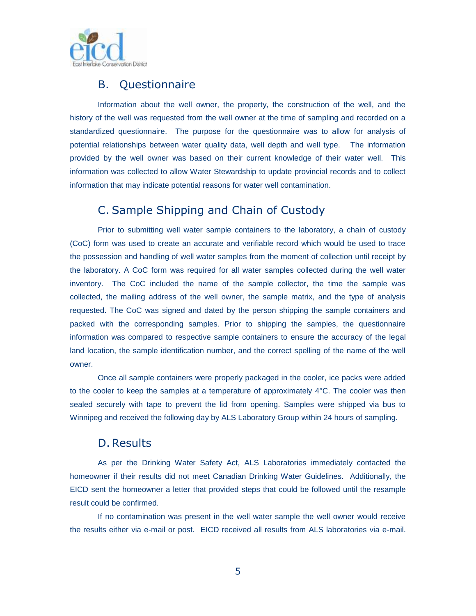

### <span id="page-7-0"></span>B. Questionnaire

Information about the well owner, the property, the construction of the well, and the history of the well was requested from the well owner at the time of sampling and recorded on a standardized questionnaire. The purpose for the questionnaire was to allow for analysis of potential relationships between water quality data, well depth and well type. The information provided by the well owner was based on their current knowledge of their water well. This information was collected to allow Water Stewardship to update provincial records and to collect information that may indicate potential reasons for water well contamination.

#### <span id="page-7-1"></span>C. Sample Shipping and Chain of Custody

Prior to submitting well water sample containers to the laboratory, a chain of custody (CoC) form was used to create an accurate and verifiable record which would be used to trace the possession and handling of well water samples from the moment of collection until receipt by the laboratory. A CoC form was required for all water samples collected during the well water inventory. The CoC included the name of the sample collector, the time the sample was collected, the mailing address of the well owner, the sample matrix, and the type of analysis requested. The CoC was signed and dated by the person shipping the sample containers and packed with the corresponding samples. Prior to shipping the samples, the questionnaire information was compared to respective sample containers to ensure the accuracy of the legal land location, the sample identification number, and the correct spelling of the name of the well owner.

Once all sample containers were properly packaged in the cooler, ice packs were added to the cooler to keep the samples at a temperature of approximately 4°C. The cooler was then sealed securely with tape to prevent the lid from opening. Samples were shipped via bus to Winnipeg and received the following day by ALS Laboratory Group within 24 hours of sampling.

#### <span id="page-7-2"></span>D. Results

As per the Drinking Water Safety Act, ALS Laboratories immediately contacted the homeowner if their results did not meet Canadian Drinking Water Guidelines. Additionally, the EICD sent the homeowner a letter that provided steps that could be followed until the resample result could be confirmed.

If no contamination was present in the well water sample the well owner would receive the results either via e-mail or post. EICD received all results from ALS laboratories via e-mail.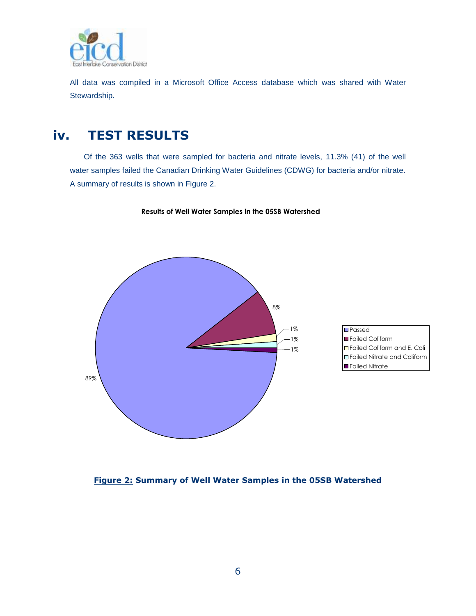

All data was compiled in a Microsoft Office Access database which was shared with Water Stewardship.

## <span id="page-8-0"></span>**iv. TEST RESULTS**

Of the 363 wells that were sampled for bacteria and nitrate levels, 11.3% (41) of the well water samples failed the Canadian Drinking Water Guidelines (CDWG) for bacteria and/or nitrate. A summary of results is shown in Figure 2.

**Results of Well Water Samples in the 05SB Watershed**





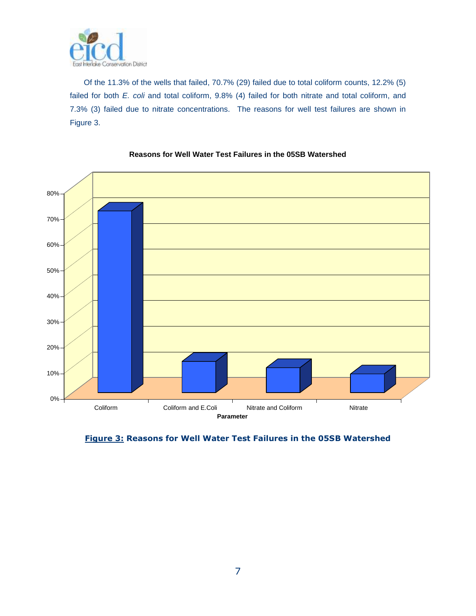

Of the 11.3% of the wells that failed, 70.7% (29) failed due to total coliform counts, 12.2% (5) failed for both *E. coli* and total coliform, 9.8% (4) failed for both nitrate and total coliform, and 7.3% (3) failed due to nitrate concentrations. The reasons for well test failures are shown in Figure 3.



#### **Reasons for Well Water Test Failures in the 05SB Watershed**

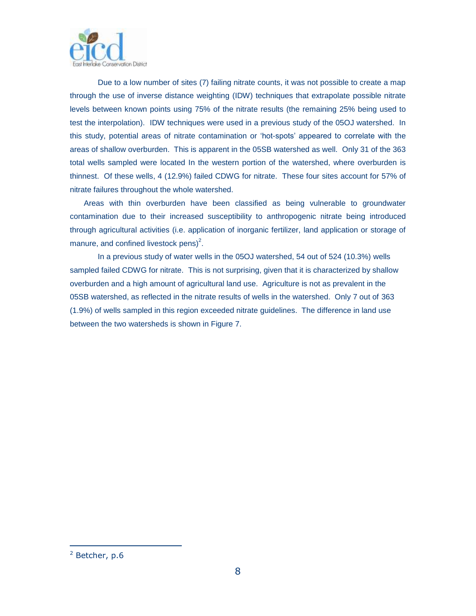

Due to a low number of sites (7) failing nitrate counts, it was not possible to create a map through the use of inverse distance weighting (IDW) techniques that extrapolate possible nitrate levels between known points using 75% of the nitrate results (the remaining 25% being used to test the interpolation). IDW techniques were used in a previous study of the 05OJ watershed. In this study, potential areas of nitrate contamination or "hot-spots" appeared to correlate with the areas of shallow overburden. This is apparent in the 05SB watershed as well. Only 31 of the 363 total wells sampled were located In the western portion of the watershed, where overburden is thinnest. Of these wells, 4 (12.9%) failed CDWG for nitrate. These four sites account for 57% of nitrate failures throughout the whole watershed.

Areas with thin overburden have been classified as being vulnerable to groundwater contamination due to their increased susceptibility to anthropogenic nitrate being introduced through agricultural activities (i.e. application of inorganic fertilizer, land application or storage of manure, and confined livestock pens)<sup>2</sup>.

In a previous study of water wells in the 05OJ watershed, 54 out of 524 (10.3%) wells sampled failed CDWG for nitrate. This is not surprising, given that it is characterized by shallow overburden and a high amount of agricultural land use. Agriculture is not as prevalent in the 05SB watershed, as reflected in the nitrate results of wells in the watershed. Only 7 out of 363 (1.9%) of wells sampled in this region exceeded nitrate guidelines. The difference in land use between the two watersheds is shown in Figure 7.

1

 $2$  Betcher, p.6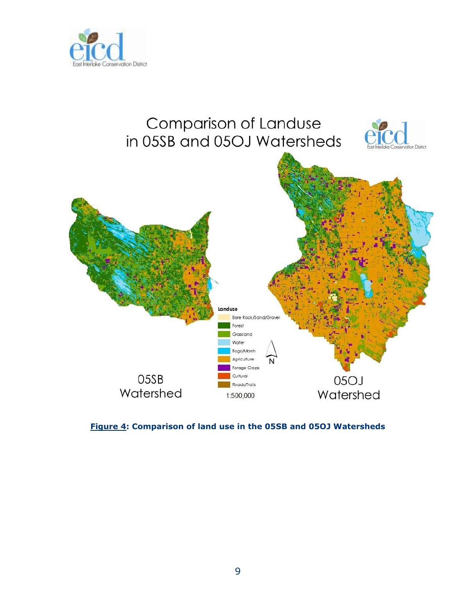



**Figure 4: Comparison of land use in the 05SB and 05OJ Watersheds**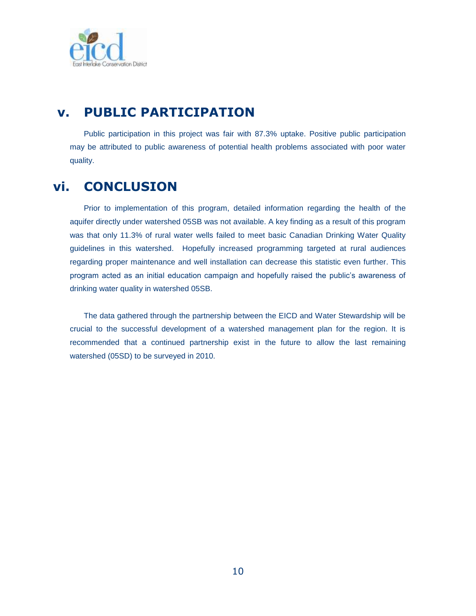

## <span id="page-12-0"></span>**v. PUBLIC PARTICIPATION**

Public participation in this project was fair with 87.3% uptake. Positive public participation may be attributed to public awareness of potential health problems associated with poor water quality.

## <span id="page-12-1"></span>**vi. CONCLUSION**

Prior to implementation of this program, detailed information regarding the health of the aquifer directly under watershed 05SB was not available. A key finding as a result of this program was that only 11.3% of rural water wells failed to meet basic Canadian Drinking Water Quality guidelines in this watershed. Hopefully increased programming targeted at rural audiences regarding proper maintenance and well installation can decrease this statistic even further. This program acted as an initial education campaign and hopefully raised the public"s awareness of drinking water quality in watershed 05SB.

The data gathered through the partnership between the EICD and Water Stewardship will be crucial to the successful development of a watershed management plan for the region. It is recommended that a continued partnership exist in the future to allow the last remaining watershed (05SD) to be surveyed in 2010.